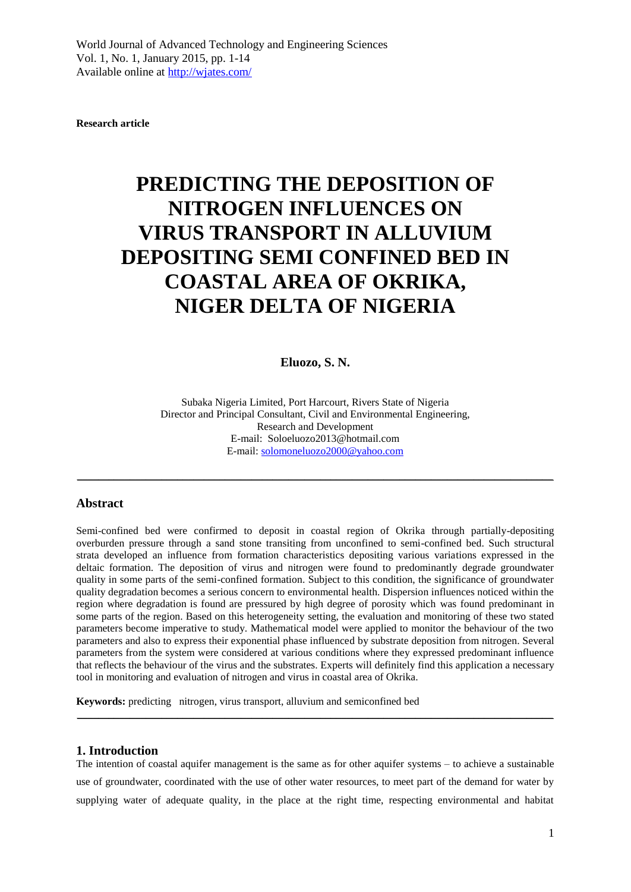**Research article**

# **PREDICTING THE DEPOSITION OF NITROGEN INFLUENCES ON VIRUS TRANSPORT IN ALLUVIUM DEPOSITING SEMI CONFINED BED IN COASTAL AREA OF OKRIKA, NIGER DELTA OF NIGERIA**

#### **Eluozo, S. N.**

Subaka Nigeria Limited, Port Harcourt, Rivers State of Nigeria Director and Principal Consultant, Civil and Environmental Engineering, Research and Development E-mail: Soloeluozo2013@hotmail.com E-mail[: solomoneluozo2000@yahoo.com](mailto:solomoneluozo2000@yahoo.com)

 $\_$  . The contribution of the contribution of the contribution of the contribution of  $\mathcal{L}_\text{max}$ 

#### **Abstract**

Semi-confined bed were confirmed to deposit in coastal region of Okrika through partially-depositing overburden pressure through a sand stone transiting from unconfined to semi-confined bed. Such structural strata developed an influence from formation characteristics depositing various variations expressed in the deltaic formation. The deposition of virus and nitrogen were found to predominantly degrade groundwater quality in some parts of the semi-confined formation. Subject to this condition, the significance of groundwater quality degradation becomes a serious concern to environmental health. Dispersion influences noticed within the region where degradation is found are pressured by high degree of porosity which was found predominant in some parts of the region. Based on this heterogeneity setting, the evaluation and monitoring of these two stated parameters become imperative to study. Mathematical model were applied to monitor the behaviour of the two parameters and also to express their exponential phase influenced by substrate deposition from nitrogen. Several parameters from the system were considered at various conditions where they expressed predominant influence that reflects the behaviour of the virus and the substrates. Experts will definitely find this application a necessary tool in monitoring and evaluation of nitrogen and virus in coastal area of Okrika.

**Keywords:** predicting nitrogen, virus transport, alluvium and semiconfined bed

## **1. Introduction**

The intention of coastal aquifer management is the same as for other aquifer systems – to achieve a sustainable use of groundwater, coordinated with the use of other water resources, to meet part of the demand for water by supplying water of adequate quality, in the place at the right time, respecting environmental and habitat

\_\_\_\_\_\_\_\_\_\_\_\_\_\_\_\_\_\_\_\_\_\_\_\_\_\_\_\_\_\_\_\_\_\_\_\_\_\_\_\_\_\_\_\_\_\_\_\_\_\_\_\_\_\_\_\_\_\_\_\_\_\_\_\_\_\_\_\_\_\_\_\_\_\_\_\_\_\_\_\_\_\_\_\_\_\_\_\_\_\_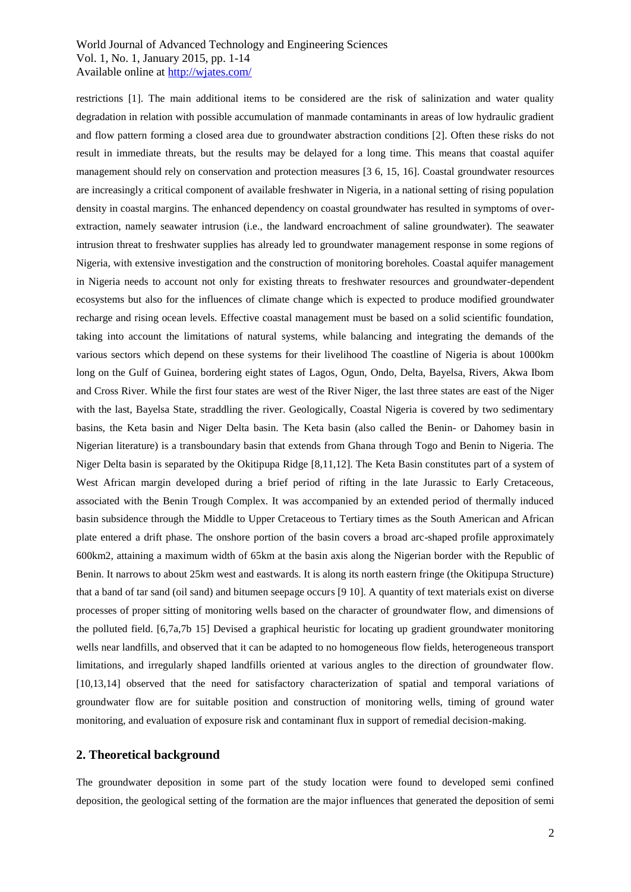restrictions [1]. The main additional items to be considered are the risk of salinization and water quality degradation in relation with possible accumulation of manmade contaminants in areas of low hydraulic gradient and flow pattern forming a closed area due to groundwater abstraction conditions [2]. Often these risks do not result in immediate threats, but the results may be delayed for a long time. This means that coastal aquifer management should rely on conservation and protection measures [3 6, 15, 16]. Coastal groundwater resources are increasingly a critical component of available freshwater in Nigeria, in a national setting of rising population density in coastal margins. The enhanced dependency on coastal groundwater has resulted in symptoms of overextraction, namely seawater intrusion (i.e., the landward encroachment of saline groundwater). The seawater intrusion threat to freshwater supplies has already led to groundwater management response in some regions of Nigeria, with extensive investigation and the construction of monitoring boreholes. Coastal aquifer management in Nigeria needs to account not only for existing threats to freshwater resources and groundwater-dependent ecosystems but also for the influences of climate change which is expected to produce modified groundwater recharge and rising ocean levels. Effective coastal management must be based on a solid scientific foundation, taking into account the limitations of natural systems, while balancing and integrating the demands of the various sectors which depend on these systems for their livelihood The coastline of Nigeria is about 1000km long on the Gulf of Guinea, bordering eight states of Lagos, Ogun, Ondo, Delta, Bayelsa, Rivers, Akwa Ibom and Cross River. While the first four states are west of the River Niger, the last three states are east of the Niger with the last, Bayelsa State, straddling the river. Geologically, Coastal Nigeria is covered by two sedimentary basins, the Keta basin and Niger Delta basin. The Keta basin (also called the Benin- or Dahomey basin in Nigerian literature) is a transboundary basin that extends from Ghana through Togo and Benin to Nigeria. The Niger Delta basin is separated by the Okitipupa Ridge [8,11,12]. The Keta Basin constitutes part of a system of West African margin developed during a brief period of rifting in the late Jurassic to Early Cretaceous, associated with the Benin Trough Complex. It was accompanied by an extended period of thermally induced basin subsidence through the Middle to Upper Cretaceous to Tertiary times as the South American and African plate entered a drift phase. The onshore portion of the basin covers a broad arc-shaped profile approximately 600km2, attaining a maximum width of 65km at the basin axis along the Nigerian border with the Republic of Benin. It narrows to about 25km west and eastwards. It is along its north eastern fringe (the Okitipupa Structure) that a band of tar sand (oil sand) and bitumen seepage occurs [9 10]. A quantity of text materials exist on diverse processes of proper sitting of monitoring wells based on the character of groundwater flow, and dimensions of the polluted field. [6,7a,7b 15] Devised a graphical heuristic for locating up gradient groundwater monitoring wells near landfills, and observed that it can be adapted to no homogeneous flow fields, heterogeneous transport limitations, and irregularly shaped landfills oriented at various angles to the direction of groundwater flow. [10,13,14] observed that the need for satisfactory characterization of spatial and temporal variations of groundwater flow are for suitable position and construction of monitoring wells, timing of ground water monitoring, and evaluation of exposure risk and contaminant flux in support of remedial decision-making.

#### **2. Theoretical background**

The groundwater deposition in some part of the study location were found to developed semi confined deposition, the geological setting of the formation are the major influences that generated the deposition of semi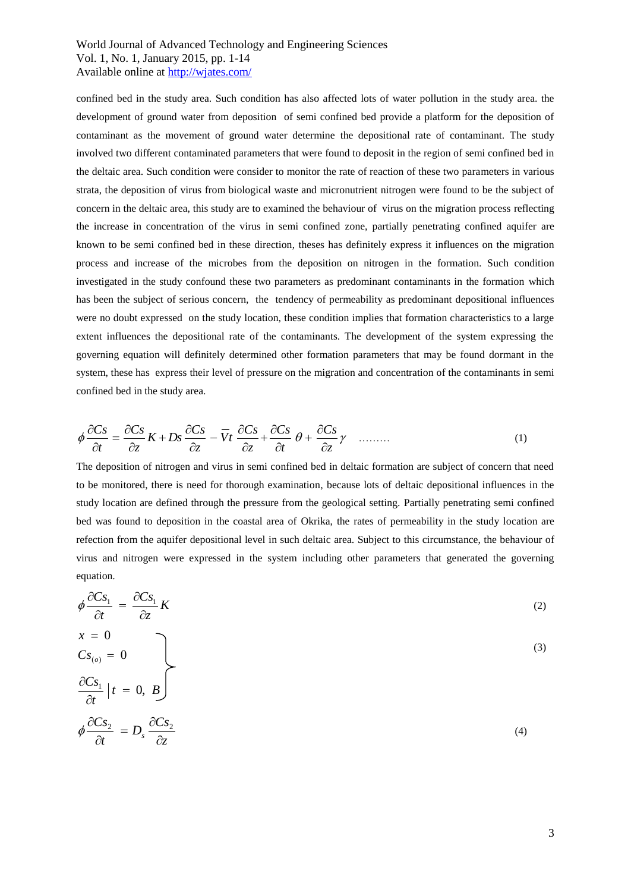confined bed in the study area. Such condition has also affected lots of water pollution in the study area. the development of ground water from deposition of semi confined bed provide a platform for the deposition of contaminant as the movement of ground water determine the depositional rate of contaminant. The study involved two different contaminated parameters that were found to deposit in the region of semi confined bed in the deltaic area. Such condition were consider to monitor the rate of reaction of these two parameters in various strata, the deposition of virus from biological waste and micronutrient nitrogen were found to be the subject of concern in the deltaic area, this study are to examined the behaviour of virus on the migration process reflecting the increase in concentration of the virus in semi confined zone, partially penetrating confined aquifer are known to be semi confined bed in these direction, theses has definitely express it influences on the migration process and increase of the microbes from the deposition on nitrogen in the formation. Such condition investigated in the study confound these two parameters as predominant contaminants in the formation which has been the subject of serious concern, the tendency of permeability as predominant depositional influences were no doubt expressed on the study location, these condition implies that formation characteristics to a large extent influences the depositional rate of the contaminants. The development of the system expressing the governing equation will definitely determined other formation parameters that may be found dormant in the system, these has express their level of pressure on the migration and concentration of the contaminants in semi confined bed in the study area.

$$
\phi \frac{\partial Cs}{\partial t} = \frac{\partial Cs}{\partial z} K + Ds \frac{\partial Cs}{\partial z} - \overline{V}t \frac{\partial Cs}{\partial z} + \frac{\partial Cs}{\partial t} \theta + \frac{\partial Cs}{\partial z} \gamma \quad \dots \dots \tag{1}
$$

The deposition of nitrogen and virus in semi confined bed in deltaic formation are subject of concern that need to be monitored, there is need for thorough examination, because lots of deltaic depositional influences in the study location are defined through the pressure from the geological setting. Partially penetrating semi confined bed was found to deposition in the coastal area of Okrika, the rates of permeability in the study location are refection from the aquifer depositional level in such deltaic area. Subject to this circumstance, the behaviour of virus and nitrogen were expressed in the system including other parameters that generated the governing equation.

$$
\phi \frac{\partial C_{S_1}}{\partial t} = \frac{\partial C_{S_1}}{\partial z} K
$$
\n
$$
x = 0
$$
\n
$$
C_{S_{(o)}} = 0
$$
\n
$$
\frac{\partial C_{S_1}}{\partial t} | t = 0, B
$$
\n
$$
\phi \frac{\partial C_{S_2}}{\partial t} = D_s \frac{\partial C_{S_2}}{\partial z}
$$
\n(4)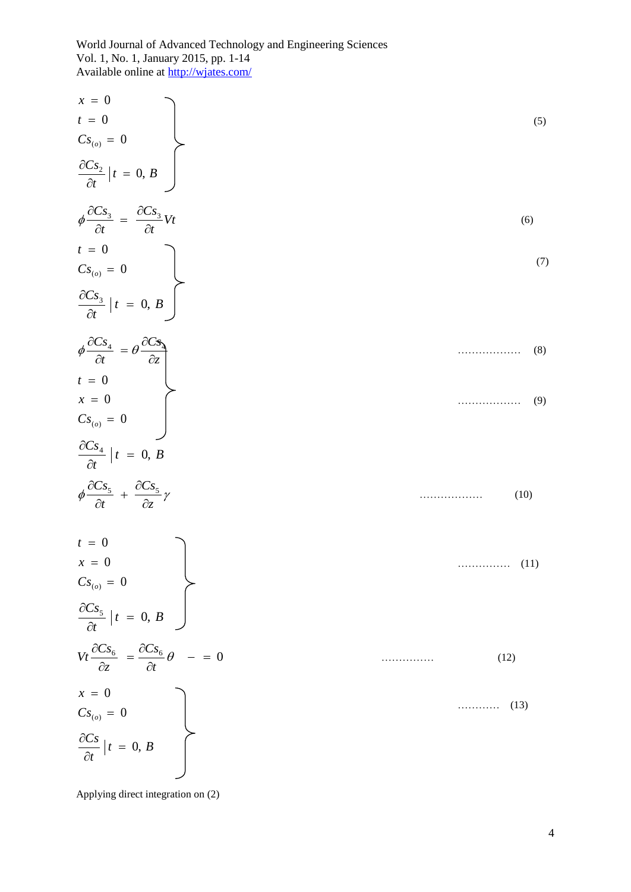| $x = 0$                                                                                   |           |
|-------------------------------------------------------------------------------------------|-----------|
| $t = 0$                                                                                   | (5)       |
| $Cs_{(o)} = 0$                                                                            |           |
| $\frac{\partial Cs_2}{\partial t}   t = 0, B$                                             |           |
| $\phi \frac{\partial Cs_3}{\partial t} = \frac{\partial Cs_3}{\partial t}Vt$              | (6)       |
|                                                                                           | (7)       |
| $t = 0$<br>$Cs_{(o)} = 0$<br>$\frac{\partial Cs_3}{\partial t}   t = 0, B$                |           |
| $\phi \frac{\partial C_{S_4}}{\partial t} = \theta \frac{\partial C_{S_4}}{\partial z}$   | (8)       |
|                                                                                           |           |
| $t = 0$<br>$x = 0$<br>$Cs_{(o)} = 0$                                                      | (9)       |
| $\frac{\partial Cs_4}{\partial t}   t = 0, B$                                             |           |
| $\phi \frac{\partial C s_5}{\partial t} \; + \; \frac{\partial C s_5}{\partial z} \gamma$ | (10)      |
| $t = 0$                                                                                   |           |
| $x = 0$                                                                                   | (11)<br>. |
|                                                                                           |           |
| $Cs_{(o)} = 0$<br>$\frac{\partial Cs_5}{\partial t}   t = 0, B$                           |           |
| $Vt\frac{\partial Cs_6}{\partial z} = \frac{\partial Cs_6}{\partial t}\theta - = 0$       | (12)      |
| $x = 0$                                                                                   |           |
|                                                                                           | (13)      |
| $Cs_{(o)} = 0$<br>$\frac{\partial Cs}{\partial t}   t = 0, B$                             |           |
|                                                                                           |           |

Applying direct integration on (2)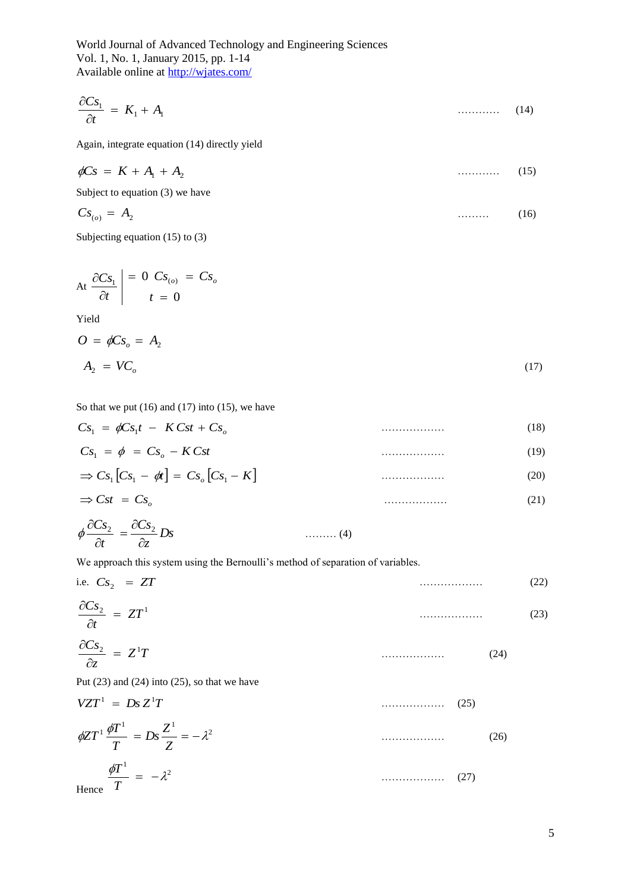$$
\frac{\partial Cs_1}{\partial t} = K_1 + A_1 \tag{14}
$$

Again, integrate equation (14) directly yield

$$
\phi Cs = K + A_1 + A_2 \tag{15}
$$

Subject to equation (3) we have

$$
Cs_{(o)} = A_2 \tag{16}
$$

Subjecting equation (15) to (3)

$$
At \frac{\partial Cs_1}{\partial t} \Big| = 0 \quad Cs_{(o)} = Cs_o
$$
  

$$
t = 0
$$

Yield

$$
O = \phi Cs_o = A_2
$$
  

$$
A_2 = VC_o
$$
 (17)

So that we put  $(16)$  and  $(17)$  into  $(15)$ , we have

$$
Cs1 = \phi Cs1t - KCst + Cso
$$
\n
$$
Cs1 = \phi = Cso - KCst
$$
\n
$$
\Rightarrow Cs1[Cs1 - \phi t] = Cso[Cs1 - K]
$$
\n(19)

$$
\Rightarrow \mathbf{C}\mathbf{s}t = \mathbf{C}\mathbf{s}_o \tag{21}
$$

$$
\phi \frac{\partial Cs_2}{\partial t} = \frac{\partial Cs_2}{\partial z} Ds \qquad \qquad (4)
$$

We approach this system using the Bernoulli's method of separation of variables.

i.e. 
$$
Cs_2 = ZT
$$
  
\n
$$
\frac{\partial Cs_2}{\partial t} = ZT^1
$$
\n
$$
\frac{\partial Cs_2}{\partial z} = Z^1T
$$
\n
$$
\text{Put (23) and (24) into (25), so that we have}
$$
\n
$$
VZT^1 = Ds Z^1T
$$
\n
$$
\phi ZT^1 \frac{\phi T^1}{T} = Ds \frac{Z^1}{Z} = -\lambda^2
$$
\n(26)

$$
\frac{\phi T^1}{T} = -\lambda^2 \tag{27}
$$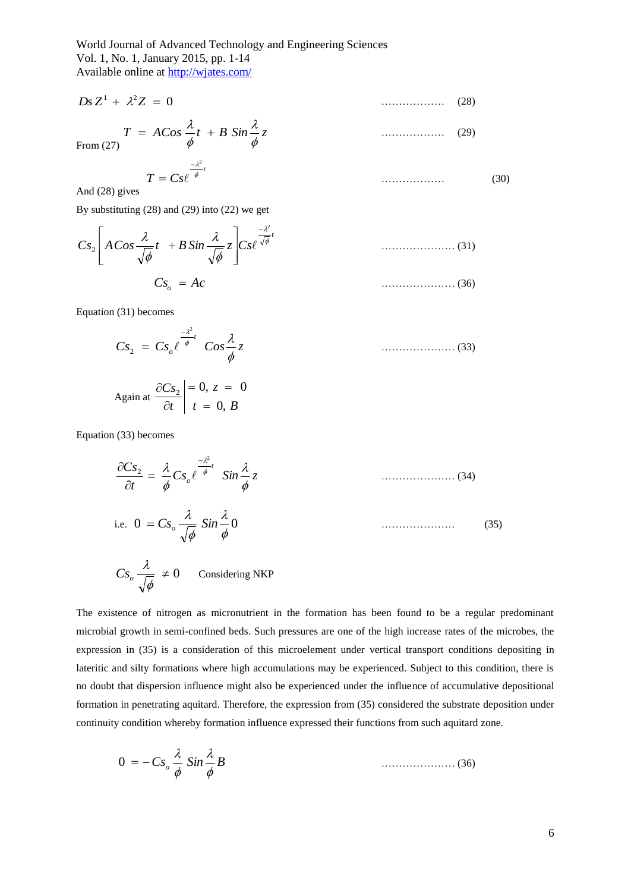$$
Ds Z^1 + \lambda^2 Z = 0 \tag{28}
$$

From (27) 
$$
T = ACos \frac{\lambda}{\phi} t + B Sin \frac{\lambda}{\phi} z
$$
 (29)

 $T = Cs\ell^{\frac{n}{\phi}t}$  $-\lambda^2$  $= Cs \ell \stackrel{\phi}{\ }$  (30)

And (28) gives

By substituting (28) and (29) into (22) we get

$$
Cs_{2}\left[ACos\frac{\lambda}{\sqrt{\phi}}t + B\sin\frac{\lambda}{\sqrt{\phi}}z\right]Cs\ell^{\frac{-\lambda^{2}}{\sqrt{\phi}}t}
$$
\n(31)  
\n
$$
Cs_{o} = Ac
$$
\n(36)

Equation (31) becomes

$$
Cs_2 = Cs_o e^{\frac{-\lambda^2}{\phi}t} \text{ } Cos \frac{\lambda}{\phi} z \text{ } (33)
$$

$$
\text{Again at } \left. \frac{\partial C s_2}{\partial t} \right| = 0, \, z = 0
$$
\n
$$
t = 0, \, B
$$

Equation (33) becomes

$$
\frac{\partial C_{S_2}}{\partial t} = \frac{\lambda}{\phi} C_{S_o} \ell^{\frac{-\lambda^2}{\phi}} \quad \sin \frac{\lambda}{\phi} z \tag{34}
$$

i.e. 
$$
0 = Cs_o \frac{\lambda}{\sqrt{\phi}} \sin \frac{\lambda}{\phi} 0
$$
 (35)

$$
Cs_o \frac{\lambda}{\sqrt{\phi}} \neq 0
$$
 Considering NKP

The existence of nitrogen as micronutrient in the formation has been found to be a regular predominant microbial growth in semi-confined beds. Such pressures are one of the high increase rates of the microbes, the expression in (35) is a consideration of this microelement under vertical transport conditions depositing in lateritic and silty formations where high accumulations may be experienced. Subject to this condition, there is no doubt that dispersion influence might also be experienced under the influence of accumulative depositional formation in penetrating aquitard. Therefore, the expression from (35) considered the substrate deposition under continuity condition whereby formation influence expressed their functions from such aquitard zone.

$$
0 = -Cs_o \frac{\lambda}{\phi} Sin \frac{\lambda}{\phi} B
$$
 (36)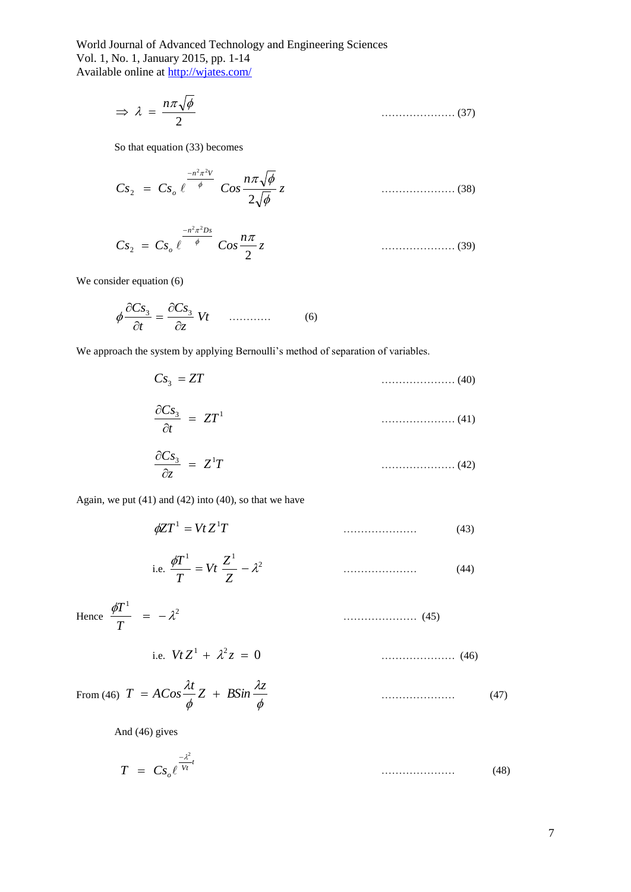$$
\Rightarrow \lambda = \frac{n\pi\sqrt{\phi}}{2} \tag{37}
$$

So that equation (33) becomes

$$
Cs_2 = Cs_o \ell^{\frac{-n^2 \pi^2 V}{\phi}} \cos \frac{n \pi \sqrt{\phi}}{2 \sqrt{\phi}} z \qquad (38)
$$

$$
Cs_2 = Cs_o \, \ell \frac{-n^2 \pi^2 D s}{\phi} \, Cos \frac{n \pi}{2} z \qquad (39)
$$

We consider equation  $(6)$ 

$$
\phi \frac{\partial Cs_3}{\partial t} = \frac{\partial Cs_3}{\partial z} Vt \qquad \qquad (6)
$$

We approach the system by applying Bernoulli's method of separation of variables.

$$
Cs_3 = ZT \tag{40}
$$

$$
\frac{\partial Cs_3}{\partial t} = ZT^1 \tag{41}
$$

$$
\frac{\partial Cs_3}{\partial z} = Z^1 T \tag{42}
$$

Again, we put (41) and (42) into (40), so that we have

$$
\phi Z T^1 = Vt Z^1 T \tag{43}
$$

i.e. 
$$
\frac{\phi T^1}{T} = Vt \frac{Z^1}{Z} - \lambda^2
$$
 (44)

Hence 
$$
\frac{\phi T^1}{T} = -\lambda^2
$$
 (45)

i.e. 
$$
VtZ^1 + \lambda^2 z = 0
$$
 (46)

From (46) 
$$
T = A\cos\frac{\lambda t}{\phi}Z + B\sin\frac{\lambda z}{\phi}
$$
 (47)

And (46) gives

$$
T = C s_o \ell^{\frac{-\lambda^2}{V_t}} \tag{48}
$$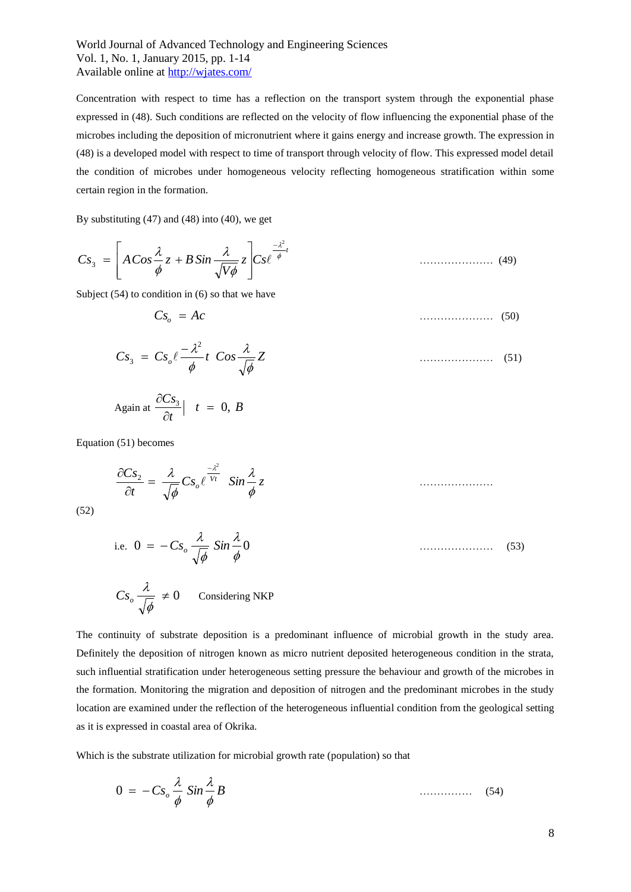Concentration with respect to time has a reflection on the transport system through the exponential phase expressed in (48). Such conditions are reflected on the velocity of flow influencing the exponential phase of the microbes including the deposition of micronutrient where it gains energy and increase growth. The expression in (48) is a developed model with respect to time of transport through velocity of flow. This expressed model detail the condition of microbes under homogeneous velocity reflecting homogeneous stratification within some certain region in the formation.

By substituting (47) and (48) into (40), we get

$$
Cs_3 = \left[ A\,Cos\frac{\lambda}{\phi} \, z + B\,Sin\frac{\lambda}{\sqrt{V\phi}} \, z \right] Cs\,ell^{\frac{-\lambda^2}{\phi}t} \qquad \qquad \dots \dots \dots \dots \dots \tag{49}
$$

Subject (54) to condition in (6) so that we have

$$
Cs_o = Ac
$$
 (50)

$$
Cs_3 = Cs_o \ell \frac{-\lambda^2}{\phi} t \ cos \frac{\lambda}{\sqrt{\phi}} Z \qquad (51)
$$

$$
Again at  $\frac{\partial Cs_3}{\partial t} \mid t = 0, B$
$$

Equation (51) becomes

$$
\frac{\partial Cs_2}{\partial t} = \frac{\lambda}{\sqrt{\phi}} Cs_o e^{\frac{-\lambda^2}{Vt}} \quad \sin \frac{\lambda}{\phi} z
$$

(52)

i.e. 
$$
0 = -Cs_o \frac{\lambda}{\sqrt{\phi}} \sin \frac{\lambda}{\phi} 0
$$
 (53)

$$
Cs_o \frac{\lambda}{\sqrt{\phi}} \neq 0
$$
 Considering NKP

The continuity of substrate deposition is a predominant influence of microbial growth in the study area. Definitely the deposition of nitrogen known as micro nutrient deposited heterogeneous condition in the strata, such influential stratification under heterogeneous setting pressure the behaviour and growth of the microbes in the formation. Monitoring the migration and deposition of nitrogen and the predominant microbes in the study location are examined under the reflection of the heterogeneous influential condition from the geological setting as it is expressed in coastal area of Okrika.

Which is the substrate utilization for microbial growth rate (population) so that

$$
0 = -Cs_o \frac{\lambda}{\phi} Sin \frac{\lambda}{\phi} B \qquad (54)
$$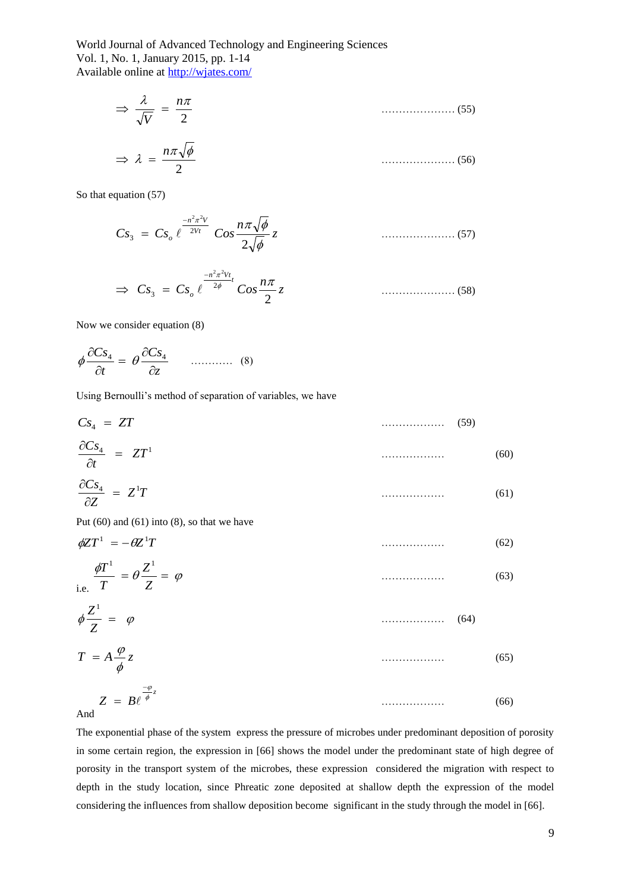$$
\Rightarrow \frac{\lambda}{\sqrt{V}} = \frac{n\pi}{2}
$$
 (55)

$$
\Rightarrow \lambda = \frac{n\pi\sqrt{\phi}}{2} \tag{56}
$$

So that equation  $(57)$ 

$$
Cs_3 = Cs_o \, \ell^{\frac{-n^2 \pi^2 V}{2Vt}} \, Cos \frac{n \pi \sqrt{\phi}}{2 \sqrt{\phi}} z \tag{57}
$$

$$
\Rightarrow C s_3 = C s_o e^{\frac{-n^2 \pi^2 V t}{2\phi}} C o s \frac{n \pi}{2} z \qquad \qquad \dots \dots \dots \dots \dots \dots \tag{58}
$$

Now we consider equation (8)

$$
\phi \frac{\partial Cs_4}{\partial t} = \theta \frac{\partial Cs_4}{\partial z} \qquad \qquad (8)
$$

Using Bernoulli's method of separation of variables, we have

| $Cs4 = ZT$                       |   | ٢q |
|----------------------------------|---|----|
| $\frac{\partial Cs_4}{=} = ZT^1$ | . |    |

$$
\frac{\partial C_{S_4}}{\partial Z} = Z^1 T \tag{61}
$$

Put  $(60)$  and  $(61)$  into  $(8)$ , so that we have

$$
\phi Z T^1 = -\theta Z^1 T \tag{62}
$$

$$
\frac{\phi T^1}{T} = \theta \frac{Z^1}{Z} = \varphi \tag{63}
$$

$$
\phi \frac{Z^1}{Z} = \varphi \tag{64}
$$

$$
T = A \frac{\varphi}{\phi} z \tag{65}
$$

$$
Z = B \ell^{\frac{-\varphi}{\phi}z} \tag{66}
$$

And

The exponential phase of the system express the pressure of microbes under predominant deposition of porosity in some certain region, the expression in [66] shows the model under the predominant state of high degree of porosity in the transport system of the microbes, these expression considered the migration with respect to depth in the study location, since Phreatic zone deposited at shallow depth the expression of the model considering the influences from shallow deposition become significant in the study through the model in [66].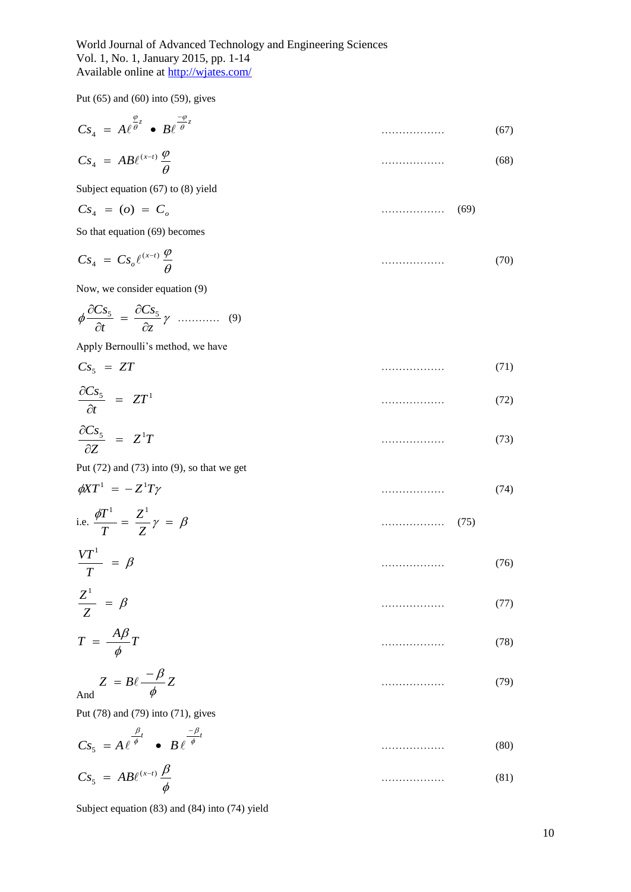Put (65) and (60) into (59), gives

$$
Cs_4 = A\ell^{\frac{\varphi}{\theta^z}} \bullet B\ell^{\frac{-\varphi}{\theta^z}}
$$
\n(67)

$$
Cs_4 = AB\ell^{(x-t)}\frac{\varphi}{\theta} \tag{68}
$$

Subject equation (67) to (8) yield

$$
Cs_4 = (o) = C_o \tag{69}
$$

So that equation (69) becomes

$$
Cs_4 = Cs_o \ell^{(x-t)} \frac{\varphi}{\theta} \tag{70}
$$

Now, we consider equation (9)

 $\phi \frac{\partial^2 z}{\partial t} = \frac{\partial^2 z}{\partial z} \gamma$ *Cs t Cs*  $\partial$  $=\frac{\partial}{\partial x}$  $\partial$  $\partial Cs_5$   $\partial Cs_5$ ………… (9)

Apply Bernoulli's method, we have

$$
Cs5 = ZT
$$
\n
$$
\frac{\partial Cs_{5}}{\partial Cs_{5}}
$$
\n(71)

$$
\frac{\partial \mathbf{C} \mathbf{S}_5}{\partial t} = ZT^1 \tag{72}
$$

$$
\frac{\partial C s_5}{\partial Z} = Z^1 T \tag{73}
$$

Put  $(72)$  and  $(73)$  into  $(9)$ , so that we get

$$
\phi X T^1 = -Z^1 T \gamma \tag{74}
$$

i.e. 
$$
\frac{\phi T^1}{T} = \frac{Z^1}{Z} \gamma = \beta \tag{75}
$$

$$
\frac{VT^1}{T} = \beta \tag{76}
$$

$$
\frac{Z^1}{Z} = \beta \tag{77}
$$

$$
T = \frac{A\beta}{\phi}T
$$
 (78)

$$
Z = B\ell \frac{-\beta}{\phi} Z \tag{79}
$$

And

Put (78) and (79) into (71), gives

$$
Cs_{5} = A e^{\frac{\beta}{\phi}t} \bullet B e^{-\frac{-\beta}{\phi}t}
$$
\n
$$
Cs_{5} = AB e^{(x-t)} \frac{\beta}{\phi}
$$
\n
$$
(80)
$$
\n
$$
(\text{81})
$$

Subject equation (83) and (84) into (74) yield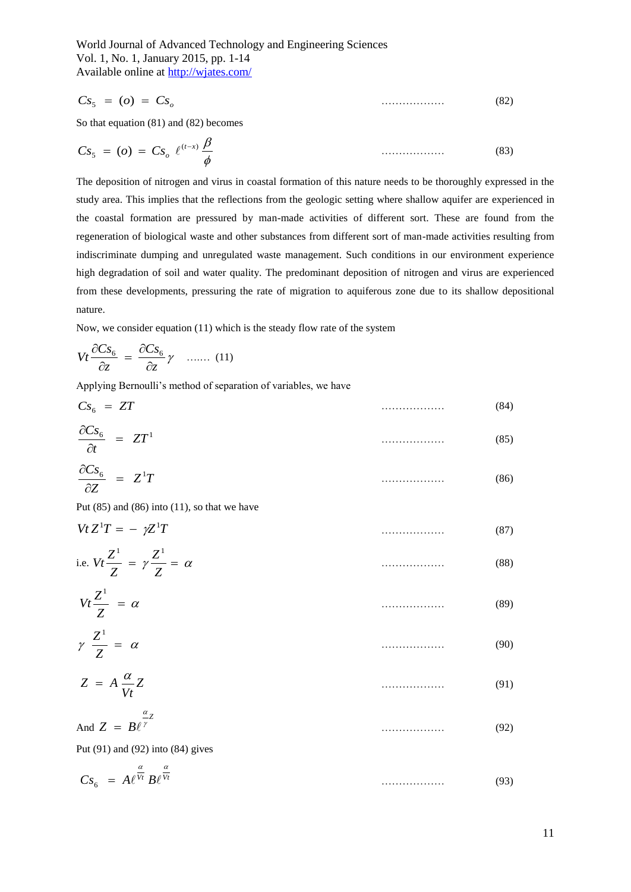$$
Cs5 = (o) = Cso
$$
\n
$$
(82)
$$

So that equation (81) and (82) becomes

$$
Cs_{5} = (o) = Cs_{o} e^{(t-x)} \frac{\beta}{\phi}
$$
\n(83)

Cs<sub>i</sub> = (*c*) = Cs<sub>i</sub><br>
So the squared 831 has different into contain formulation of this antive needs to be theoremative and the square intervals of the specifical of the specifical of the specifical of the proposition of The deposition of nitrogen and virus in coastal formation of this nature needs to be thoroughly expressed in the study area. This implies that the reflections from the geologic setting where shallow aquifer are experienced in the coastal formation are pressured by man-made activities of different sort. These are found from the regeneration of biological waste and other substances from different sort of man-made activities resulting from indiscriminate dumping and unregulated waste management. Such conditions in our environment experience high degradation of soil and water quality. The predominant deposition of nitrogen and virus are experienced from these developments, pressuring the rate of migration to aquiferous zone due to its shallow depositional nature.

Now, we consider equation (11) which is the steady flow rate of the system

$$
Vt\frac{\partial Cs_{6}}{\partial z} = \frac{\partial Cs_{6}}{\partial z}\gamma \quad ...... \quad (11)
$$

Applying Bernoulli's method of separation of variables, we have

| $Cs6 = ZT$                                  | . |   |
|---------------------------------------------|---|---|
| $\partial C_s$<br>$\frac{1-26}{\pi} = ZT^1$ | . | ື |

$$
\frac{\partial Cs_6}{\partial Z} = Z^1 T \tag{86}
$$

Put  $(85)$  and  $(86)$  into  $(11)$ , so that we have

$$
VtZ^{1}T = -\gamma Z^{1}T
$$
\ni.e.  $Vt\frac{Z^{1}}{Z} = \gamma \frac{Z^{1}}{Z} = \alpha$  (87)

$$
Vt\frac{Z^1}{Z} = \alpha \tag{89}
$$

$$
\gamma \frac{Z^1}{Z} = \alpha \tag{90}
$$

$$
Z = A \frac{\alpha}{Vt} Z \tag{91}
$$

$$
And Z = B\ell^{\frac{\alpha}{\gamma}} \tag{92}
$$

Put (91) and (92) into (84) gives

$$
Cs_{6} = A\ell^{\frac{\alpha}{Vt}}B\ell^{\frac{\alpha}{Vt}} \tag{93}
$$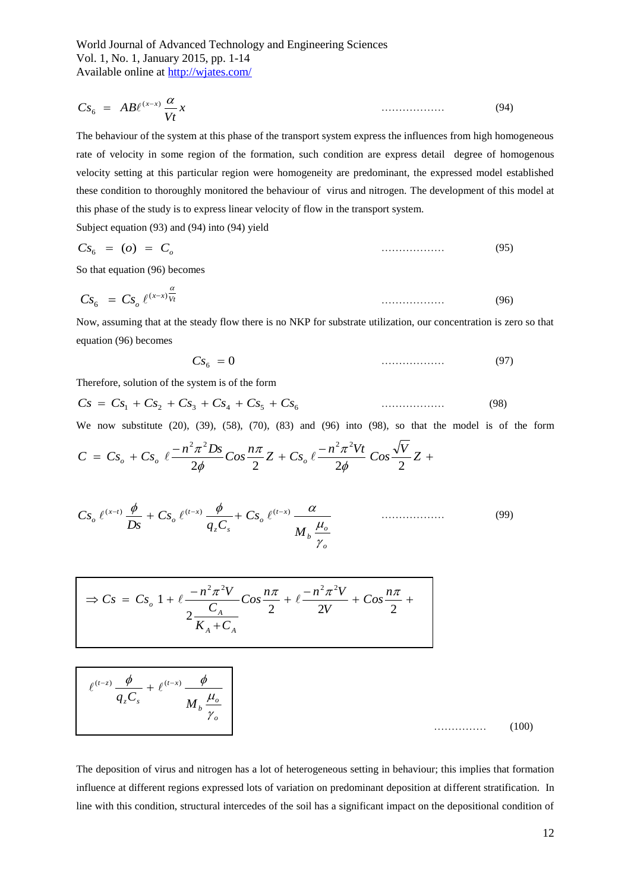$$
Cs_6 = AB\ell^{(x-x)}\frac{\alpha}{Vt}x\tag{94}
$$

The behaviour of the system at this phase of the transport system express the influences from high homogeneous rate of velocity in some region of the formation, such condition are express detail degree of homogenous velocity setting at this particular region were homogeneity are predominant, the expressed model established these condition to thoroughly monitored the behaviour of virus and nitrogen. The development of this model at this phase of the study is to express linear velocity of flow in the transport system.

Subject equation (93) and (94) into (94) yield

$$
Cs6 = (o) = Co
$$
\n
$$
(95)
$$

So that equation (96) becomes

$$
Cs_{6} = Cs_{o} \ell^{(x-x)\frac{\alpha}{Vt}}
$$
\n(96)

Now, assuming that at the steady flow there is no NKP for substrate utilization, our concentration is zero so that equation (96) becomes

$$
Cs_6 = 0 \tag{97}
$$

Therefore, solution of the system is of the form

$$
Cs = Cs1 + Cs2 + Cs3 + Cs4 + Cs5 + Cs6
$$
\n(98)

We now substitute (20), (39), (58), (70), (83) and (96) into (98), so that the model is of the form

$$
C = Cs_o + Cs_o \ell \frac{-n^2 \pi^2 Ds}{2\phi} Cos \frac{n\pi}{2} Z + Cs_o \ell \frac{-n^2 \pi^2 Vt}{2\phi} Cos \frac{\sqrt{V}}{2} Z +
$$

$$
Cs_o \ell^{(x-t)} \frac{\phi}{Ds} + Cs_o \ell^{(t-x)} \frac{\phi}{q_z C_s} + Cs_o \ell^{(t-x)} \frac{\alpha}{M_b \frac{\mu_o}{\gamma_o}}
$$
\n(99)

$$
\Rightarrow Cs = Cs_o \ 1 + \ell \frac{-n^2 \pi^2 V}{2 \frac{C_A}{K_A + C_A}} Cos \frac{n\pi}{2} + \ell \frac{-n^2 \pi^2 V}{2V} + Cos \frac{n\pi}{2} +
$$

$$
\ell^{(t-z)}\frac{\phi}{q_z C_s} + \ell^{(t-x)}\frac{\phi}{M_b \frac{\mu_o}{\gamma_o}}
$$
\n(100)

The deposition of virus and nitrogen has a lot of heterogeneous setting in behaviour; this implies that formation influence at different regions expressed lots of variation on predominant deposition at different stratification. In line with this condition, structural intercedes of the soil has a significant impact on the depositional condition of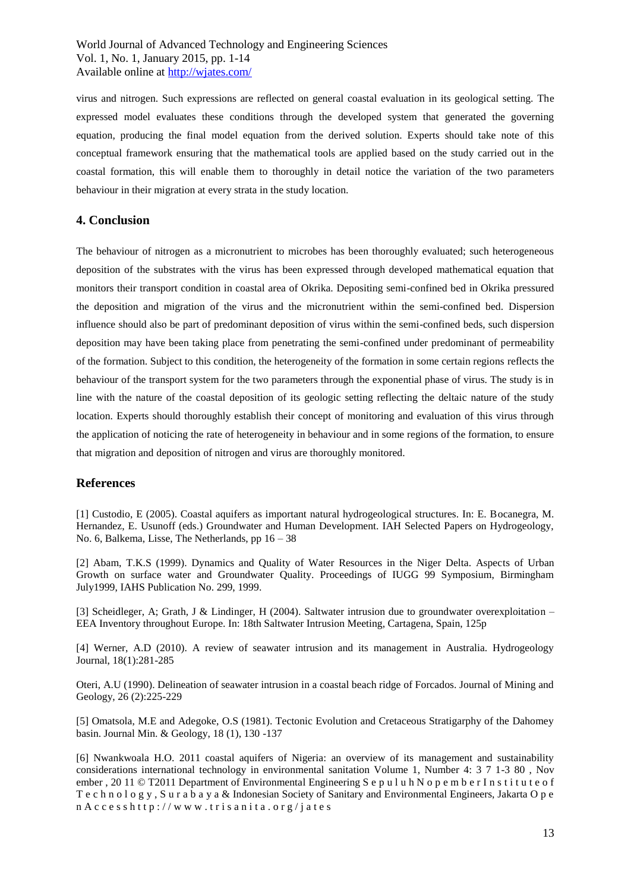virus and nitrogen. Such expressions are reflected on general coastal evaluation in its geological setting. The expressed model evaluates these conditions through the developed system that generated the governing equation, producing the final model equation from the derived solution. Experts should take note of this conceptual framework ensuring that the mathematical tools are applied based on the study carried out in the coastal formation, this will enable them to thoroughly in detail notice the variation of the two parameters behaviour in their migration at every strata in the study location.

# **4. Conclusion**

The behaviour of nitrogen as a micronutrient to microbes has been thoroughly evaluated; such heterogeneous deposition of the substrates with the virus has been expressed through developed mathematical equation that monitors their transport condition in coastal area of Okrika. Depositing semi-confined bed in Okrika pressured the deposition and migration of the virus and the micronutrient within the semi-confined bed. Dispersion influence should also be part of predominant deposition of virus within the semi-confined beds, such dispersion deposition may have been taking place from penetrating the semi-confined under predominant of permeability of the formation. Subject to this condition, the heterogeneity of the formation in some certain regions reflects the behaviour of the transport system for the two parameters through the exponential phase of virus. The study is in line with the nature of the coastal deposition of its geologic setting reflecting the deltaic nature of the study location. Experts should thoroughly establish their concept of monitoring and evaluation of this virus through the application of noticing the rate of heterogeneity in behaviour and in some regions of the formation, to ensure that migration and deposition of nitrogen and virus are thoroughly monitored.

# **References**

[1] Custodio, E (2005). Coastal aquifers as important natural hydrogeological structures. In: E. Bocanegra, M. Hernandez, E. Usunoff (eds.) Groundwater and Human Development. IAH Selected Papers on Hydrogeology, No. 6, Balkema, Lisse, The Netherlands, pp 16 – 38

[2] Abam, T.K.S (1999). Dynamics and Quality of Water Resources in the Niger Delta. Aspects of Urban Growth on surface water and Groundwater Quality. Proceedings of IUGG 99 Symposium, Birmingham July1999, IAHS Publication No. 299, 1999.

[3] Scheidleger, A; Grath, J & Lindinger, H (2004). Saltwater intrusion due to groundwater overexploitation – EEA Inventory throughout Europe. In: 18th Saltwater Intrusion Meeting, Cartagena, Spain, 125p

[4] Werner, A.D (2010). A review of seawater intrusion and its management in Australia. Hydrogeology Journal, 18(1):281-285

Oteri, A.U (1990). Delineation of seawater intrusion in a coastal beach ridge of Forcados. Journal of Mining and Geology, 26 (2):225-229

[5] Omatsola, M.E and Adegoke, O.S (1981). Tectonic Evolution and Cretaceous Stratigarphy of the Dahomey basin. Journal Min. & Geology, 18 (1), 130 -137

[6] Nwankwoala H.O. 2011 coastal aquifers of Nigeria: an overview of its management and sustainability considerations international technology in environmental sanitation Volume 1, Number 4: 3 7 1-3 80 , Nov ember, 20 11 © T2011 Department of Environmental Engineering S e p u l u h N o p e m b e r I n s t i t u t e o f T e c h n o l o g y , S u r a b a y a & Indonesian Society of Sanitary and Environmental Engineers, Jakarta O p e  $n A c c e s s h t t p$ ://www.trisanita.org/jates